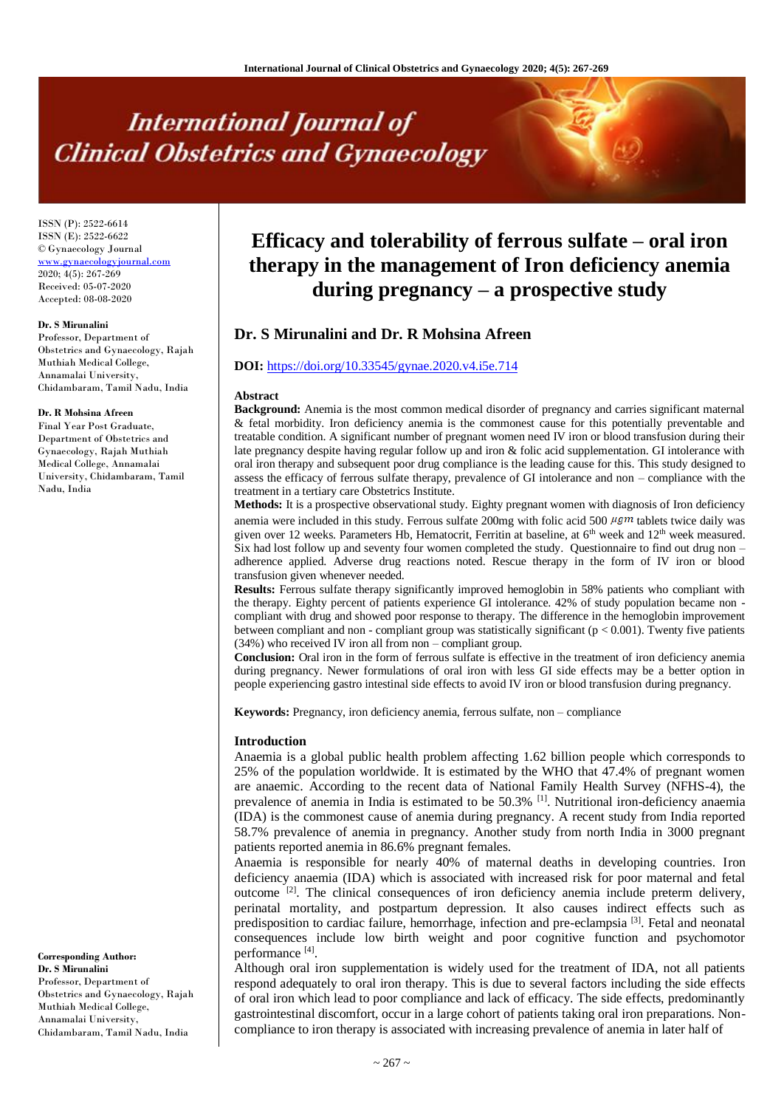# **International Journal of Clinical Obstetrics and Gynaecology**

ISSN (P): 2522-6614 ISSN (E): 2522-6622 © Gynaecology Journal [www.gynaecologyjournal.com](http://www.gynaecologyjournal.com/) 2020; 4(5): 267-269 Received: 05-07-2020 Accepted: 08-08-2020

#### **Dr. S Mirunalini**

Professor, Department of Obstetrics and Gynaecology, Rajah Muthiah Medical College, Annamalai University, Chidambaram, Tamil Nadu, India

#### **Dr. R Mohsina Afreen**

Final Year Post Graduate, Department of Obstetrics and Gynaecology, Rajah Muthiah Medical College, Annamalai University, Chidambaram, Tamil Nadu, India

**Corresponding Author: Dr. S Mirunalini** Professor, Department of Obstetrics and Gynaecology, Rajah Muthiah Medical College, Annamalai University, Chidambaram, Tamil Nadu, India

## **Efficacy and tolerability of ferrous sulfate – oral iron therapy in the management of Iron deficiency anemia during pregnancy – a prospective study**

### **Dr. S Mirunalini and Dr. R Mohsina Afreen**

#### **DOI:** <https://doi.org/10.33545/gynae.2020.v4.i5e.714>

#### **Abstract**

**Background:** Anemia is the most common medical disorder of pregnancy and carries significant maternal & fetal morbidity. Iron deficiency anemia is the commonest cause for this potentially preventable and treatable condition. A significant number of pregnant women need IV iron or blood transfusion during their late pregnancy despite having regular follow up and iron & folic acid supplementation. GI intolerance with oral iron therapy and subsequent poor drug compliance is the leading cause for this. This study designed to assess the efficacy of ferrous sulfate therapy, prevalence of GI intolerance and non – compliance with the treatment in a tertiary care Obstetrics Institute.

**Methods:** It is a prospective observational study. Eighty pregnant women with diagnosis of Iron deficiency anemia were included in this study. Ferrous sulfate 200mg with folic acid 500  $\mu$ gm tablets twice daily was given over 12 weeks. Parameters Hb, Hematocrit, Ferritin at baseline, at 6<sup>th</sup> week and 12<sup>th</sup> week measured. Six had lost follow up and seventy four women completed the study. Questionnaire to find out drug non – adherence applied. Adverse drug reactions noted. Rescue therapy in the form of IV iron or blood transfusion given whenever needed.

**Results:** Ferrous sulfate therapy significantly improved hemoglobin in 58% patients who compliant with the therapy. Eighty percent of patients experience GI intolerance. 42% of study population became non compliant with drug and showed poor response to therapy. The difference in the hemoglobin improvement between compliant and non - compliant group was statistically significant (p < 0.001). Twenty five patients (34%) who received IV iron all from non – compliant group.

**Conclusion:** Oral iron in the form of ferrous sulfate is effective in the treatment of iron deficiency anemia during pregnancy. Newer formulations of oral iron with less GI side effects may be a better option in people experiencing gastro intestinal side effects to avoid IV iron or blood transfusion during pregnancy.

**Keywords:** Pregnancy, iron deficiency anemia, ferrous sulfate, non – compliance

#### **Introduction**

Anaemia is a global public health problem affecting 1.62 billion people which corresponds to 25% of the population worldwide. It is estimated by the WHO that 47.4% of pregnant women are anaemic. According to the recent data of National Family Health Survey (NFHS-4), the prevalence of anemia in India is estimated to be 50.3% [1] . Nutritional iron-deficiency anaemia (IDA) is the commonest cause of anemia during pregnancy. A recent study from India reported 58.7% prevalence of anemia in pregnancy. Another study from north India in 3000 pregnant patients reported anemia in 86.6% pregnant females.

Anaemia is responsible for nearly 40% of maternal deaths in developing countries. Iron deficiency anaemia (IDA) which is associated with increased risk for poor maternal and fetal outcome <sup>[2]</sup>. The clinical consequences of iron deficiency anemia include preterm delivery, perinatal mortality, and postpartum depression. It also causes indirect effects such as predisposition to cardiac failure, hemorrhage, infection and pre-eclampsia<sup>[3]</sup>. Fetal and neonatal consequences include low birth weight and poor cognitive function and psychomotor performance<sup>[4]</sup>.

Although oral iron supplementation is widely used for the treatment of IDA, not all patients respond adequately to oral iron therapy. This is due to several factors including the side effects of oral iron which lead to poor compliance and lack of efficacy. The side effects, predominantly gastrointestinal discomfort, occur in a large cohort of patients taking oral iron preparations. Noncompliance to iron therapy is associated with increasing prevalence of anemia in later half of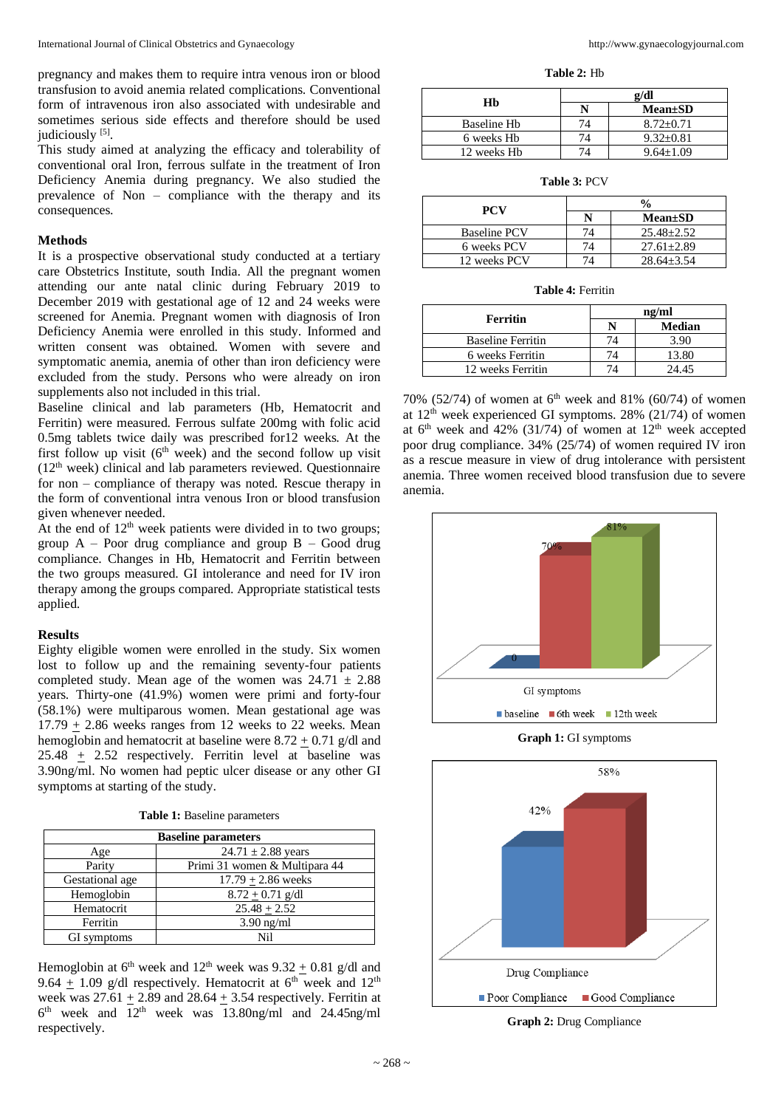pregnancy and makes them to require intra venous iron or blood transfusion to avoid anemia related complications. Conventional form of intravenous iron also associated with undesirable and sometimes serious side effects and therefore should be used judiciously [5].

This study aimed at analyzing the efficacy and tolerability of conventional oral Iron, ferrous sulfate in the treatment of Iron Deficiency Anemia during pregnancy. We also studied the prevalence of Non – compliance with the therapy and its consequences.

#### **Methods**

It is a prospective observational study conducted at a tertiary care Obstetrics Institute, south India. All the pregnant women attending our ante natal clinic during February 2019 to December 2019 with gestational age of 12 and 24 weeks were screened for Anemia. Pregnant women with diagnosis of Iron Deficiency Anemia were enrolled in this study. Informed and written consent was obtained. Women with severe and symptomatic anemia, anemia of other than iron deficiency were excluded from the study. Persons who were already on iron supplements also not included in this trial.

Baseline clinical and lab parameters (Hb, Hematocrit and Ferritin) were measured. Ferrous sulfate 200mg with folic acid 0.5mg tablets twice daily was prescribed for12 weeks. At the first follow up visit  $(6<sup>th</sup> week)$  and the second follow up visit (12th week) clinical and lab parameters reviewed. Questionnaire for non – compliance of therapy was noted. Rescue therapy in the form of conventional intra venous Iron or blood transfusion given whenever needed.

At the end of  $12<sup>th</sup>$  week patients were divided in to two groups; group  $A -$  Poor drug compliance and group  $B -$  Good drug compliance. Changes in Hb, Hematocrit and Ferritin between the two groups measured. GI intolerance and need for IV iron therapy among the groups compared. Appropriate statistical tests applied.

#### **Results**

Eighty eligible women were enrolled in the study. Six women lost to follow up and the remaining seventy-four patients completed study. Mean age of the women was  $24.71 \pm 2.88$ years. Thirty-one (41.9%) women were primi and forty-four (58.1%) were multiparous women. Mean gestational age was  $17.79 \pm 2.86$  weeks ranges from 12 weeks to 22 weeks. Mean hemoglobin and hematocrit at baseline were  $8.72 \pm 0.71$  g/dl and  $25.48 + 2.52$  respectively. Ferritin level at baseline was 3.90ng/ml. No women had peptic ulcer disease or any other GI symptoms at starting of the study.

**Table 1:** Baseline parameters

| <b>Baseline parameters</b> |                               |  |  |
|----------------------------|-------------------------------|--|--|
| Age                        | $24.71 \pm 2.88$ years        |  |  |
| Parity                     | Primi 31 women & Multipara 44 |  |  |
| Gestational age            | $17.79 + 2.86$ weeks          |  |  |
| Hemoglobin                 | $8.72 + 0.71$ g/dl            |  |  |
| Hematocrit                 | $25.48 \pm 2.52$              |  |  |
| Ferritin                   | $3.90$ ng/ml                  |  |  |
| GI symptoms                | Ni1                           |  |  |

Hemoglobin at  $6<sup>th</sup>$  week and  $12<sup>th</sup>$  week was  $9.32 + 0.81$  g/dl and 9.64 + 1.09 g/dl respectively. Hematocrit at  $6<sup>th</sup>$  week and  $12<sup>th</sup>$ week was  $27.61 + 2.89$  and  $28.64 + 3.54$  respectively. Ferritin at 6 th week and 12th week was 13.80ng/ml and 24.45ng/ml respectively.

**Table 2:** Hb

| Нb          | g/dl |                 |  |
|-------------|------|-----------------|--|
|             |      | <b>Mean</b> ±SD |  |
| Baseline Hb | 74   | $8.72 + 0.71$   |  |
| 6 weeks Hb  | 74   | $9.32 + 0.81$   |  |
| 12 weeks Hh | 7Δ   | $9.64 + 1.09$   |  |

**Table 3:** PCV

| <b>PCV</b>          |  |                 |  |
|---------------------|--|-----------------|--|
|                     |  | <b>Mean</b> ±SD |  |
| <b>Baseline PCV</b> |  | $25.48 + 2.52$  |  |
| 6 weeks PCV         |  | $27.61 + 2.89$  |  |
| 12 weeks PCV        |  | $28.64 + 3.54$  |  |

**Table 4:** Ferritin

| Ferritin                 | ng/ml |               |  |
|--------------------------|-------|---------------|--|
|                          |       | <b>Median</b> |  |
| <b>Baseline Ferritin</b> |       | 3.90          |  |
| 6 weeks Ferritin         |       | 13.80         |  |
| 12 weeks Ferritin        |       |               |  |

70% (52/74) of women at  $6<sup>th</sup>$  week and 81% (60/74) of women at  $12<sup>th</sup>$  week experienced GI symptoms. 28% (21/74) of women at  $6<sup>th</sup>$  week and 42% (31/74) of women at  $12<sup>th</sup>$  week accepted poor drug compliance. 34% (25/74) of women required IV iron as a rescue measure in view of drug intolerance with persistent anemia. Three women received blood transfusion due to severe anemia.



**Graph 1:** GI symptoms



**Graph 2:** Drug Compliance